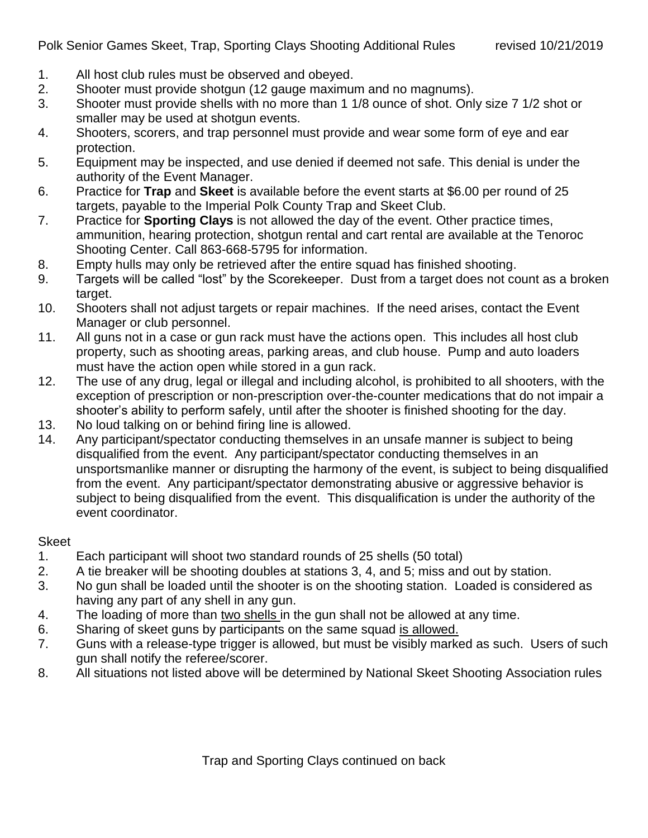- 1. All host club rules must be observed and obeyed.
- 2. Shooter must provide shotgun (12 gauge maximum and no magnums).
- 3. Shooter must provide shells with no more than 1 1/8 ounce of shot. Only size 7 1/2 shot or smaller may be used at shotgun events.
- 4. Shooters, scorers, and trap personnel must provide and wear some form of eye and ear protection.
- 5. Equipment may be inspected, and use denied if deemed not safe. This denial is under the authority of the Event Manager.
- 6. Practice for **Trap** and **Skeet** is available before the event starts at \$6.00 per round of 25 targets, payable to the Imperial Polk County Trap and Skeet Club.
- 7. Practice for **Sporting Clays** is not allowed the day of the event. Other practice times, ammunition, hearing protection, shotgun rental and cart rental are available at the Tenoroc Shooting Center. Call 863-668-5795 for information.
- 8. Empty hulls may only be retrieved after the entire squad has finished shooting.
- 9. Targets will be called "lost" by the Scorekeeper. Dust from a target does not count as a broken target.
- 10. Shooters shall not adjust targets or repair machines. If the need arises, contact the Event Manager or club personnel.
- 11. All guns not in a case or gun rack must have the actions open. This includes all host club property, such as shooting areas, parking areas, and club house. Pump and auto loaders must have the action open while stored in a gun rack.
- 12. The use of any drug, legal or illegal and including alcohol, is prohibited to all shooters, with the exception of prescription or non-prescription over-the-counter medications that do not impair a shooter's ability to perform safely, until after the shooter is finished shooting for the day.
- 13. No loud talking on or behind firing line is allowed.
- 14. Any participant/spectator conducting themselves in an unsafe manner is subject to being disqualified from the event. Any participant/spectator conducting themselves in an unsportsmanlike manner or disrupting the harmony of the event, is subject to being disqualified from the event. Any participant/spectator demonstrating abusive or aggressive behavior is subject to being disqualified from the event. This disqualification is under the authority of the event coordinator.

## Skeet

- 1. Each participant will shoot two standard rounds of 25 shells (50 total)
- 2. A tie breaker will be shooting doubles at stations 3, 4, and 5; miss and out by station.
- 3. No gun shall be loaded until the shooter is on the shooting station. Loaded is considered as having any part of any shell in any gun.
- 4. The loading of more than two shells in the gun shall not be allowed at any time.
- 6. Sharing of skeet guns by participants on the same squad is allowed.
- 7. Guns with a release-type trigger is allowed, but must be visibly marked as such. Users of such gun shall notify the referee/scorer.
- 8. All situations not listed above will be determined by National Skeet Shooting Association rules